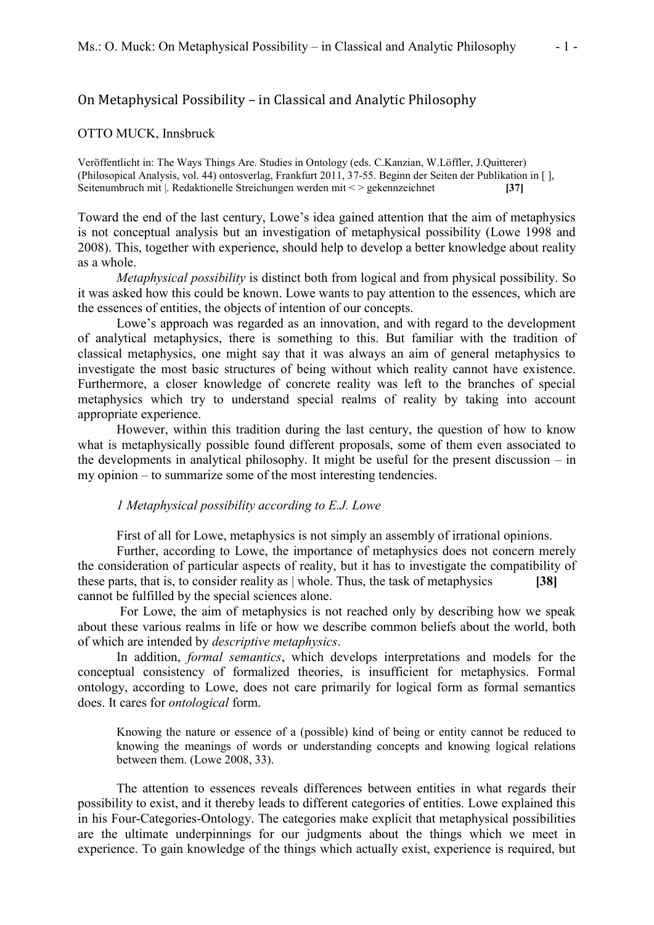# On Metaphysical Possibility – in Classical and Analytic Philosophy

## OTTO MUCK, Innsbruck

Veröffentlicht in: The Ways Things Are. Studies in Ontology (eds. C.Kanzian, W.Löffler, J.Quitterer) (Philosopical Analysis, vol. 44) ontosverlag, Frankfurt 2011, 37-55. Beginn der Seiten der Publikation in [ ], Seitenumbruch mit |. Redaktionelle Streichungen werden mit < > gekennzeichnet **[37]**

Toward the end of the last century, Lowe's idea gained attention that the aim of metaphysics is not conceptual analysis but an investigation of metaphysical possibility (Lowe 1998 and 2008). This, together with experience, should help to develop a better knowledge about reality as a whole.

*Metaphysical possibility* is distinct both from logical and from physical possibility. So it was asked how this could be known. Lowe wants to pay attention to the essences, which are the essences of entities, the objects of intention of our concepts.

Lowe's approach was regarded as an innovation, and with regard to the development of analytical metaphysics, there is something to this. But familiar with the tradition of classical metaphysics, one might say that it was always an aim of general metaphysics to investigate the most basic structures of being without which reality cannot have existence. Furthermore, a closer knowledge of concrete reality was left to the branches of special metaphysics which try to understand special realms of reality by taking into account appropriate experience.

However, within this tradition during the last century, the question of how to know what is metaphysically possible found different proposals, some of them even associated to the developments in analytical philosophy. It might be useful for the present discussion – in my opinion – to summarize some of the most interesting tendencies.

### *1 Metaphysical possibility according to E.J. Lowe*

First of all for Lowe, metaphysics is not simply an assembly of irrational opinions.

Further, according to Lowe, the importance of metaphysics does not concern merely the consideration of particular aspects of reality, but it has to investigate the compatibility of these parts, that is, to consider reality as | whole. Thus, the task of metaphysics **[38]** cannot be fulfilled by the special sciences alone.

For Lowe, the aim of metaphysics is not reached only by describing how we speak about these various realms in life or how we describe common beliefs about the world, both of which are intended by *descriptive metaphysics*.

In addition, *formal semantics*, which develops interpretations and models for the conceptual consistency of formalized theories, is insufficient for metaphysics. Formal ontology, according to Lowe, does not care primarily for logical form as formal semantics does. It cares for *ontological* form.

Knowing the nature or essence of a (possible) kind of being or entity cannot be reduced to knowing the meanings of words or understanding concepts and knowing logical relations between them. (Lowe 2008, 33).

The attention to essences reveals differences between entities in what regards their possibility to exist, and it thereby leads to different categories of entities. Lowe explained this in his Four-Categories-Ontology. The categories make explicit that metaphysical possibilities are the ultimate underpinnings for our judgments about the things which we meet in experience. To gain knowledge of the things which actually exist, experience is required, but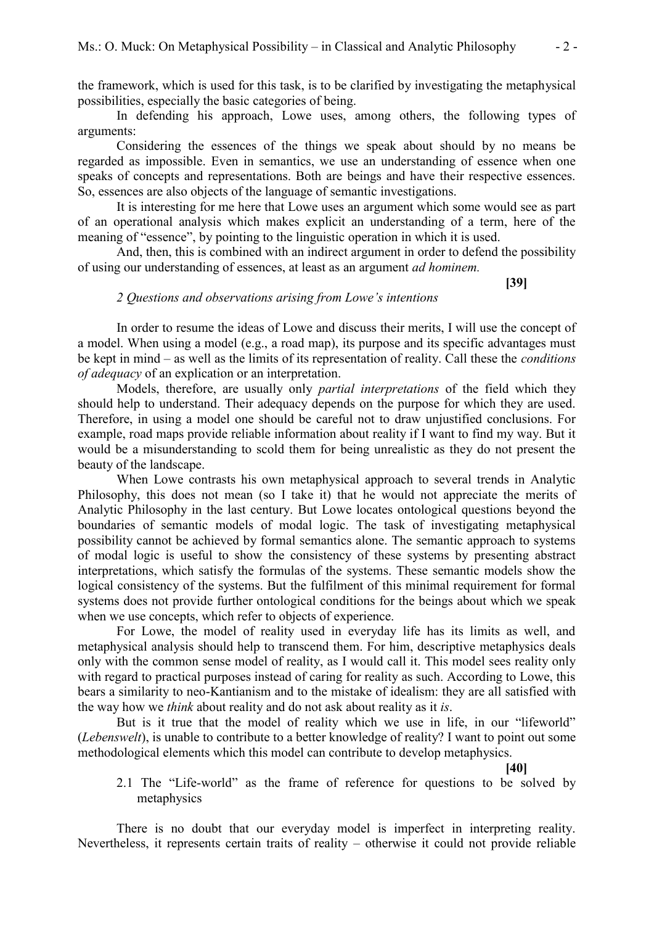the framework, which is used for this task, is to be clarified by investigating the metaphysical possibilities, especially the basic categories of being.

In defending his approach, Lowe uses, among others, the following types of arguments:

Considering the essences of the things we speak about should by no means be regarded as impossible. Even in semantics, we use an understanding of essence when one speaks of concepts and representations. Both are beings and have their respective essences. So, essences are also objects of the language of semantic investigations.

It is interesting for me here that Lowe uses an argument which some would see as part of an operational analysis which makes explicit an understanding of a term, here of the meaning of "essence", by pointing to the linguistic operation in which it is used.

And, then, this is combined with an indirect argument in order to defend the possibility of using our understanding of essences, at least as an argument *ad hominem.* 

**[39]**

## *2 Questions and observations arising from Lowe's intentions*

In order to resume the ideas of Lowe and discuss their merits, I will use the concept of a model. When using a model (e.g., a road map), its purpose and its specific advantages must be kept in mind – as well as the limits of its representation of reality. Call these the *conditions of adequacy* of an explication or an interpretation.

Models, therefore, are usually only *partial interpretations* of the field which they should help to understand. Their adequacy depends on the purpose for which they are used. Therefore, in using a model one should be careful not to draw unjustified conclusions. For example, road maps provide reliable information about reality if I want to find my way. But it would be a misunderstanding to scold them for being unrealistic as they do not present the beauty of the landscape.

When Lowe contrasts his own metaphysical approach to several trends in Analytic Philosophy, this does not mean (so I take it) that he would not appreciate the merits of Analytic Philosophy in the last century. But Lowe locates ontological questions beyond the boundaries of semantic models of modal logic. The task of investigating metaphysical possibility cannot be achieved by formal semantics alone. The semantic approach to systems of modal logic is useful to show the consistency of these systems by presenting abstract interpretations, which satisfy the formulas of the systems. These semantic models show the logical consistency of the systems. But the fulfilment of this minimal requirement for formal systems does not provide further ontological conditions for the beings about which we speak when we use concepts, which refer to objects of experience.

For Lowe, the model of reality used in everyday life has its limits as well, and metaphysical analysis should help to transcend them. For him, descriptive metaphysics deals only with the common sense model of reality, as I would call it. This model sees reality only with regard to practical purposes instead of caring for reality as such. According to Lowe, this bears a similarity to neo-Kantianism and to the mistake of idealism: they are all satisfied with the way how we *think* about reality and do not ask about reality as it *is*.

But is it true that the model of reality which we use in life, in our "lifeworld" (*Lebenswelt*), is unable to contribute to a better knowledge of reality? I want to point out some methodological elements which this model can contribute to develop metaphysics.

#### **[40]**

2.1 The "Life-world" as the frame of reference for questions to be solved by metaphysics

There is no doubt that our everyday model is imperfect in interpreting reality. Nevertheless, it represents certain traits of reality – otherwise it could not provide reliable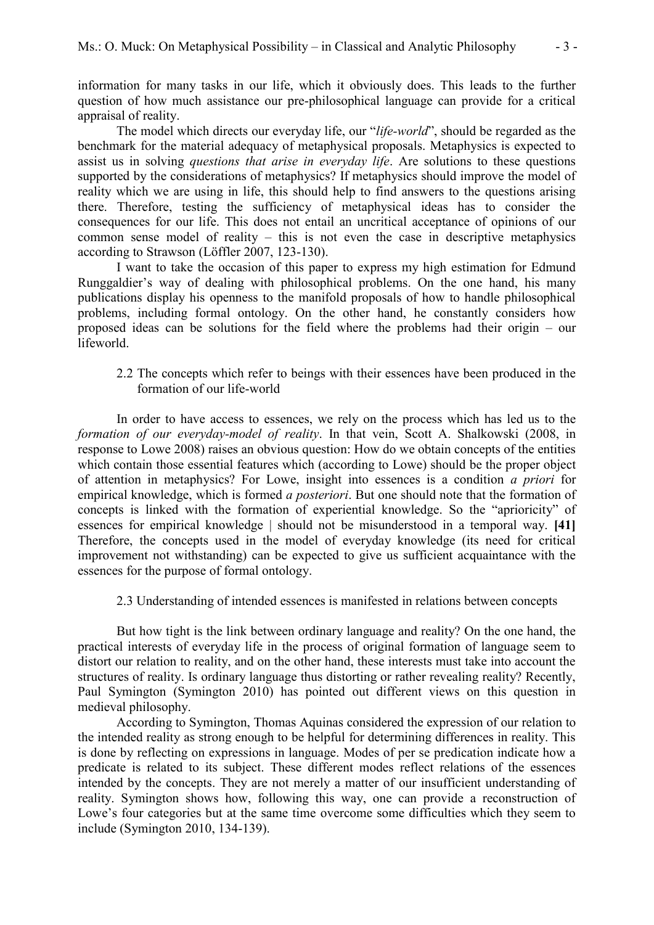information for many tasks in our life, which it obviously does. This leads to the further question of how much assistance our pre-philosophical language can provide for a critical appraisal of reality.

The model which directs our everyday life, our "*life-world*", should be regarded as the benchmark for the material adequacy of metaphysical proposals. Metaphysics is expected to assist us in solving *questions that arise in everyday life*. Are solutions to these questions supported by the considerations of metaphysics? If metaphysics should improve the model of reality which we are using in life, this should help to find answers to the questions arising there. Therefore, testing the sufficiency of metaphysical ideas has to consider the consequences for our life. This does not entail an uncritical acceptance of opinions of our common sense model of reality – this is not even the case in descriptive metaphysics according to Strawson (Löffler 2007, 123-130).

I want to take the occasion of this paper to express my high estimation for Edmund Runggaldier's way of dealing with philosophical problems. On the one hand, his many publications display his openness to the manifold proposals of how to handle philosophical problems, including formal ontology. On the other hand, he constantly considers how proposed ideas can be solutions for the field where the problems had their origin – our lifeworld.

2.2 The concepts which refer to beings with their essences have been produced in the formation of our life-world

In order to have access to essences, we rely on the process which has led us to the *formation of our everyday-model of reality*. In that vein, Scott A. Shalkowski (2008, in response to Lowe 2008) raises an obvious question: How do we obtain concepts of the entities which contain those essential features which (according to Lowe) should be the proper object of attention in metaphysics? For Lowe, insight into essences is a condition *a priori* for empirical knowledge, which is formed *a posteriori*. But one should note that the formation of concepts is linked with the formation of experiential knowledge. So the "aprioricity" of essences for empirical knowledge | should not be misunderstood in a temporal way. **[41]** Therefore, the concepts used in the model of everyday knowledge (its need for critical improvement not withstanding) can be expected to give us sufficient acquaintance with the essences for the purpose of formal ontology.

2.3 Understanding of intended essences is manifested in relations between concepts

But how tight is the link between ordinary language and reality? On the one hand, the practical interests of everyday life in the process of original formation of language seem to distort our relation to reality, and on the other hand, these interests must take into account the structures of reality. Is ordinary language thus distorting or rather revealing reality? Recently, Paul Symington (Symington 2010) has pointed out different views on this question in medieval philosophy.

According to Symington, Thomas Aquinas considered the expression of our relation to the intended reality as strong enough to be helpful for determining differences in reality. This is done by reflecting on expressions in language. Modes of per se predication indicate how a predicate is related to its subject. These different modes reflect relations of the essences intended by the concepts. They are not merely a matter of our insufficient understanding of reality. Symington shows how, following this way, one can provide a reconstruction of Lowe's four categories but at the same time overcome some difficulties which they seem to include (Symington 2010, 134-139).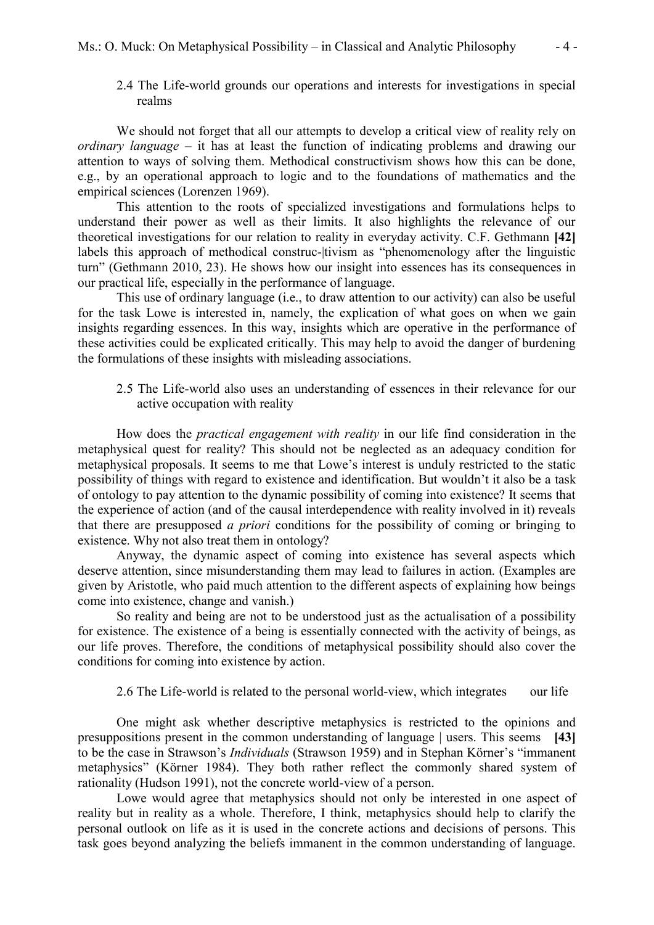2.4 The Life-world grounds our operations and interests for investigations in special realms

We should not forget that all our attempts to develop a critical view of reality rely on *ordinary language* – it has at least the function of indicating problems and drawing our attention to ways of solving them. Methodical constructivism shows how this can be done, e.g., by an operational approach to logic and to the foundations of mathematics and the empirical sciences (Lorenzen 1969).

This attention to the roots of specialized investigations and formulations helps to understand their power as well as their limits. It also highlights the relevance of our theoretical investigations for our relation to reality in everyday activity. C.F. Gethmann **[42]** labels this approach of methodical construc-|tivism as "phenomenology after the linguistic turn" (Gethmann 2010, 23). He shows how our insight into essences has its consequences in our practical life, especially in the performance of language.

This use of ordinary language (i.e., to draw attention to our activity) can also be useful for the task Lowe is interested in, namely, the explication of what goes on when we gain insights regarding essences. In this way, insights which are operative in the performance of these activities could be explicated critically. This may help to avoid the danger of burdening the formulations of these insights with misleading associations.

2.5 The Life-world also uses an understanding of essences in their relevance for our active occupation with reality

How does the *practical engagement with reality* in our life find consideration in the metaphysical quest for reality? This should not be neglected as an adequacy condition for metaphysical proposals. It seems to me that Lowe's interest is unduly restricted to the static possibility of things with regard to existence and identification. But wouldn't it also be a task of ontology to pay attention to the dynamic possibility of coming into existence? It seems that the experience of action (and of the causal interdependence with reality involved in it) reveals that there are presupposed *a priori* conditions for the possibility of coming or bringing to existence. Why not also treat them in ontology?

Anyway, the dynamic aspect of coming into existence has several aspects which deserve attention, since misunderstanding them may lead to failures in action. (Examples are given by Aristotle, who paid much attention to the different aspects of explaining how beings come into existence, change and vanish.)

So reality and being are not to be understood just as the actualisation of a possibility for existence. The existence of a being is essentially connected with the activity of beings, as our life proves. Therefore, the conditions of metaphysical possibility should also cover the conditions for coming into existence by action.

2.6 The Life-world is related to the personal world-view, which integrates our life

One might ask whether descriptive metaphysics is restricted to the opinions and presuppositions present in the common understanding of language | users. This seems **[43]**  to be the case in Strawson's *Individuals* (Strawson 1959) and in Stephan Körner's "immanent metaphysics" (Körner 1984). They both rather reflect the commonly shared system of rationality (Hudson 1991), not the concrete world-view of a person.

Lowe would agree that metaphysics should not only be interested in one aspect of reality but in reality as a whole. Therefore, I think, metaphysics should help to clarify the personal outlook on life as it is used in the concrete actions and decisions of persons. This task goes beyond analyzing the beliefs immanent in the common understanding of language.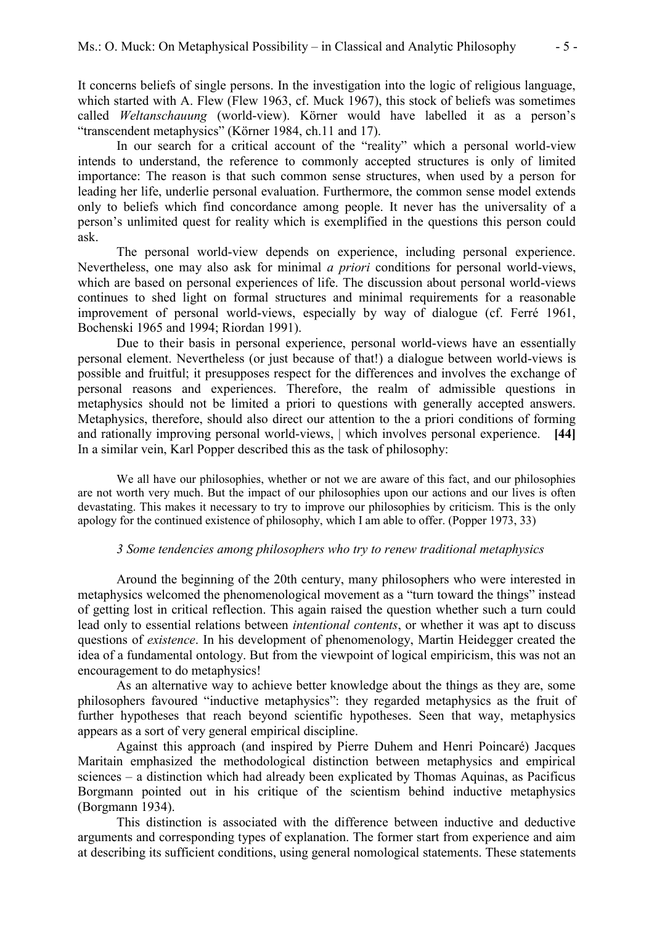It concerns beliefs of single persons. In the investigation into the logic of religious language, which started with A. Flew (Flew 1963, cf. Muck 1967), this stock of beliefs was sometimes called *Weltanschauung* (world-view). Körner would have labelled it as a person's "transcendent metaphysics" (Körner 1984, ch.11 and 17).

In our search for a critical account of the "reality" which a personal world-view intends to understand, the reference to commonly accepted structures is only of limited importance: The reason is that such common sense structures, when used by a person for leading her life, underlie personal evaluation. Furthermore, the common sense model extends only to beliefs which find concordance among people. It never has the universality of a person's unlimited quest for reality which is exemplified in the questions this person could ask.

The personal world-view depends on experience, including personal experience. Nevertheless, one may also ask for minimal *a priori* conditions for personal world-views, which are based on personal experiences of life. The discussion about personal world-views continues to shed light on formal structures and minimal requirements for a reasonable improvement of personal world-views, especially by way of dialogue (cf. Ferré 1961, Bochenski 1965 and 1994; Riordan 1991).

Due to their basis in personal experience, personal world-views have an essentially personal element. Nevertheless (or just because of that!) a dialogue between world-views is possible and fruitful; it presupposes respect for the differences and involves the exchange of personal reasons and experiences. Therefore, the realm of admissible questions in metaphysics should not be limited a priori to questions with generally accepted answers. Metaphysics, therefore, should also direct our attention to the a priori conditions of forming and rationally improving personal world-views, | which involves personal experience. **[44]** In a similar vein, Karl Popper described this as the task of philosophy:

We all have our philosophies, whether or not we are aware of this fact, and our philosophies are not worth very much. But the impact of our philosophies upon our actions and our lives is often devastating. This makes it necessary to try to improve our philosophies by criticism. This is the only apology for the continued existence of philosophy, which I am able to offer. (Popper 1973, 33)

## *3 Some tendencies among philosophers who try to renew traditional metaphysics*

Around the beginning of the 20th century, many philosophers who were interested in metaphysics welcomed the phenomenological movement as a "turn toward the things" instead of getting lost in critical reflection. This again raised the question whether such a turn could lead only to essential relations between *intentional contents*, or whether it was apt to discuss questions of *existence*. In his development of phenomenology, Martin Heidegger created the idea of a fundamental ontology. But from the viewpoint of logical empiricism, this was not an encouragement to do metaphysics!

As an alternative way to achieve better knowledge about the things as they are, some philosophers favoured "inductive metaphysics": they regarded metaphysics as the fruit of further hypotheses that reach beyond scientific hypotheses. Seen that way, metaphysics appears as a sort of very general empirical discipline.

Against this approach (and inspired by Pierre Duhem and Henri Poincaré) Jacques Maritain emphasized the methodological distinction between metaphysics and empirical sciences – a distinction which had already been explicated by Thomas Aquinas, as Pacificus Borgmann pointed out in his critique of the scientism behind inductive metaphysics (Borgmann 1934).

This distinction is associated with the difference between inductive and deductive arguments and corresponding types of explanation. The former start from experience and aim at describing its sufficient conditions, using general nomological statements. These statements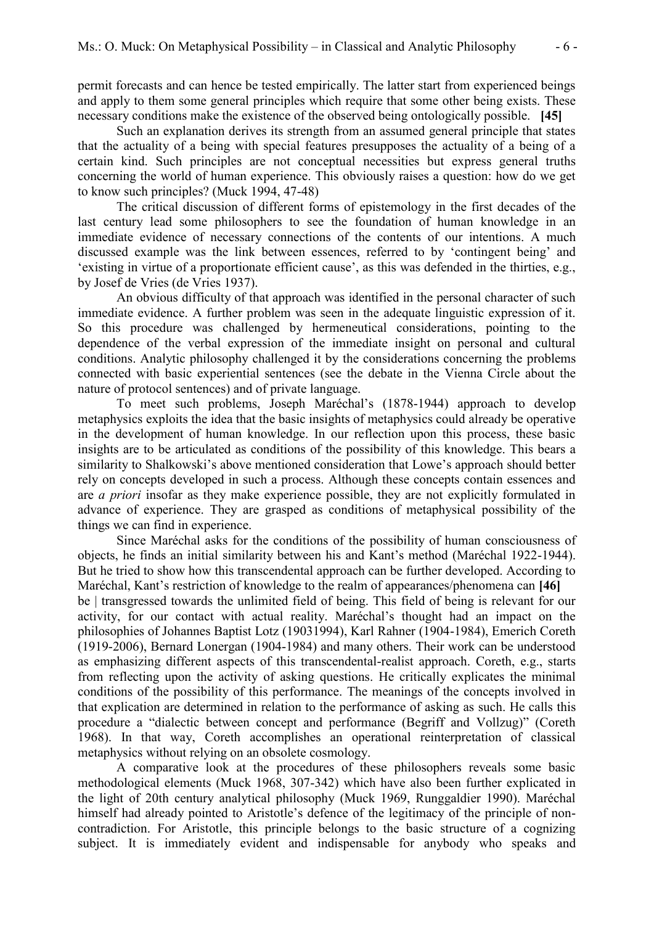permit forecasts and can hence be tested empirically. The latter start from experienced beings and apply to them some general principles which require that some other being exists. These necessary conditions make the existence of the observed being ontologically possible. **[45]**

Such an explanation derives its strength from an assumed general principle that states that the actuality of a being with special features presupposes the actuality of a being of a certain kind. Such principles are not conceptual necessities but express general truths concerning the world of human experience. This obviously raises a question: how do we get to know such principles? (Muck 1994, 47-48)

The critical discussion of different forms of epistemology in the first decades of the last century lead some philosophers to see the foundation of human knowledge in an immediate evidence of necessary connections of the contents of our intentions. A much discussed example was the link between essences, referred to by 'contingent being' and 'existing in virtue of a proportionate efficient cause', as this was defended in the thirties, e.g., by Josef de Vries (de Vries 1937).

An obvious difficulty of that approach was identified in the personal character of such immediate evidence. A further problem was seen in the adequate linguistic expression of it. So this procedure was challenged by hermeneutical considerations, pointing to the dependence of the verbal expression of the immediate insight on personal and cultural conditions. Analytic philosophy challenged it by the considerations concerning the problems connected with basic experiential sentences (see the debate in the Vienna Circle about the nature of protocol sentences) and of private language.

To meet such problems, Joseph Maréchal's (1878-1944) approach to develop metaphysics exploits the idea that the basic insights of metaphysics could already be operative in the development of human knowledge. In our reflection upon this process, these basic insights are to be articulated as conditions of the possibility of this knowledge. This bears a similarity to Shalkowski's above mentioned consideration that Lowe's approach should better rely on concepts developed in such a process. Although these concepts contain essences and are *a priori* insofar as they make experience possible, they are not explicitly formulated in advance of experience. They are grasped as conditions of metaphysical possibility of the things we can find in experience.

Since Maréchal asks for the conditions of the possibility of human consciousness of objects, he finds an initial similarity between his and Kant's method (Maréchal 1922-1944). But he tried to show how this transcendental approach can be further developed. According to Maréchal, Kant's restriction of knowledge to the realm of appearances/phenomena can **[46]** be | transgressed towards the unlimited field of being. This field of being is relevant for our activity, for our contact with actual reality. Maréchal's thought had an impact on the philosophies of Johannes Baptist Lotz (19031994), Karl Rahner (1904-1984), Emerich Coreth (1919-2006), Bernard Lonergan (1904-1984) and many others. Their work can be understood as emphasizing different aspects of this transcendental-realist approach. Coreth, e.g., starts from reflecting upon the activity of asking questions. He critically explicates the minimal conditions of the possibility of this performance. The meanings of the concepts involved in that explication are determined in relation to the performance of asking as such. He calls this procedure a "dialectic between concept and performance (Begriff and Vollzug)" (Coreth 1968). In that way, Coreth accomplishes an operational reinterpretation of classical metaphysics without relying on an obsolete cosmology.

A comparative look at the procedures of these philosophers reveals some basic methodological elements (Muck 1968, 307-342) which have also been further explicated in the light of 20th century analytical philosophy (Muck 1969, Runggaldier 1990). Maréchal himself had already pointed to Aristotle's defence of the legitimacy of the principle of noncontradiction. For Aristotle, this principle belongs to the basic structure of a cognizing subject. It is immediately evident and indispensable for anybody who speaks and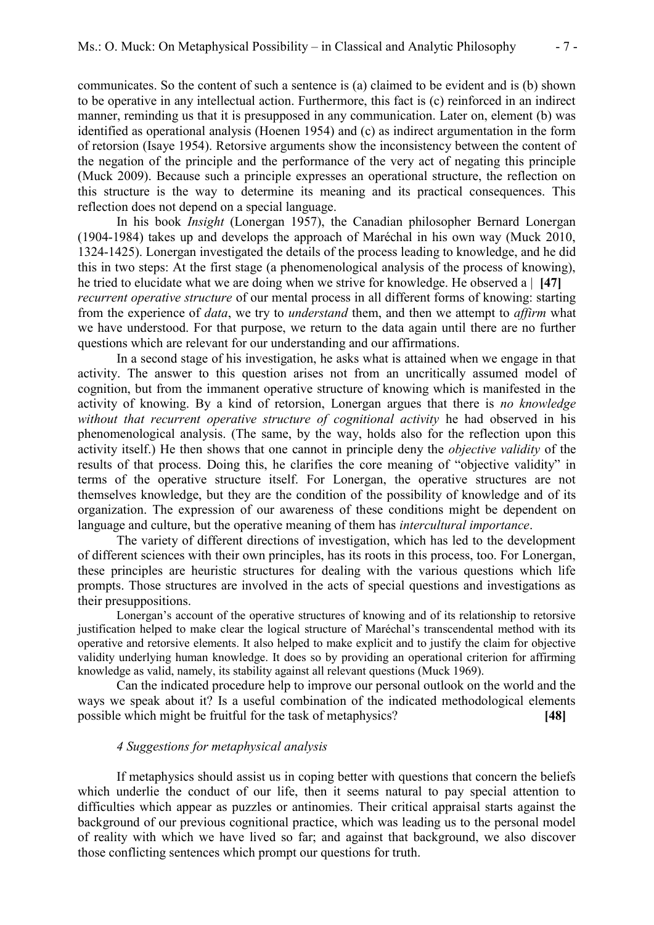communicates. So the content of such a sentence is (a) claimed to be evident and is (b) shown to be operative in any intellectual action. Furthermore, this fact is (c) reinforced in an indirect manner, reminding us that it is presupposed in any communication. Later on, element (b) was identified as operational analysis (Hoenen 1954) and (c) as indirect argumentation in the form of retorsion (Isaye 1954). Retorsive arguments show the inconsistency between the content of the negation of the principle and the performance of the very act of negating this principle (Muck 2009). Because such a principle expresses an operational structure, the reflection on this structure is the way to determine its meaning and its practical consequences. This reflection does not depend on a special language.

In his book *Insight* (Lonergan 1957), the Canadian philosopher Bernard Lonergan (1904-1984) takes up and develops the approach of Maréchal in his own way (Muck 2010, 1324-1425). Lonergan investigated the details of the process leading to knowledge, and he did this in two steps: At the first stage (a phenomenological analysis of the process of knowing), he tried to elucidate what we are doing when we strive for knowledge. He observed a | **[47]** *recurrent operative structure* of our mental process in all different forms of knowing: starting from the experience of *data*, we try to *understand* them, and then we attempt to *affirm* what we have understood. For that purpose, we return to the data again until there are no further questions which are relevant for our understanding and our affirmations.

In a second stage of his investigation, he asks what is attained when we engage in that activity. The answer to this question arises not from an uncritically assumed model of cognition, but from the immanent operative structure of knowing which is manifested in the activity of knowing. By a kind of retorsion, Lonergan argues that there is *no knowledge without that recurrent operative structure of cognitional activity* he had observed in his phenomenological analysis. (The same, by the way, holds also for the reflection upon this activity itself.) He then shows that one cannot in principle deny the *objective validity* of the results of that process. Doing this, he clarifies the core meaning of "objective validity" in terms of the operative structure itself. For Lonergan, the operative structures are not themselves knowledge, but they are the condition of the possibility of knowledge and of its organization. The expression of our awareness of these conditions might be dependent on language and culture, but the operative meaning of them has *intercultural importance*.

The variety of different directions of investigation, which has led to the development of different sciences with their own principles, has its roots in this process, too. For Lonergan, these principles are heuristic structures for dealing with the various questions which life prompts. Those structures are involved in the acts of special questions and investigations as their presuppositions.

Lonergan's account of the operative structures of knowing and of its relationship to retorsive justification helped to make clear the logical structure of Maréchal's transcendental method with its operative and retorsive elements. It also helped to make explicit and to justify the claim for objective validity underlying human knowledge. It does so by providing an operational criterion for affirming knowledge as valid, namely, its stability against all relevant questions (Muck 1969).

Can the indicated procedure help to improve our personal outlook on the world and the ways we speak about it? Is a useful combination of the indicated methodological elements possible which might be fruitful for the task of metaphysics? **[48]**

### *4 Suggestions for metaphysical analysis*

If metaphysics should assist us in coping better with questions that concern the beliefs which underlie the conduct of our life, then it seems natural to pay special attention to difficulties which appear as puzzles or antinomies. Their critical appraisal starts against the background of our previous cognitional practice, which was leading us to the personal model of reality with which we have lived so far; and against that background, we also discover those conflicting sentences which prompt our questions for truth.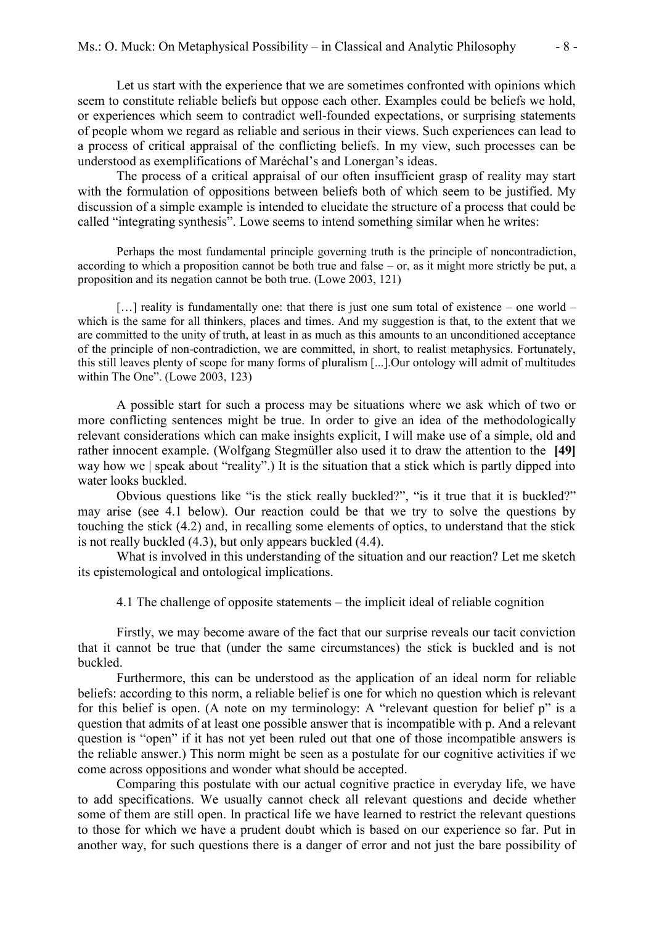Let us start with the experience that we are sometimes confronted with opinions which seem to constitute reliable beliefs but oppose each other. Examples could be beliefs we hold, or experiences which seem to contradict well-founded expectations, or surprising statements of people whom we regard as reliable and serious in their views. Such experiences can lead to a process of critical appraisal of the conflicting beliefs. In my view, such processes can be understood as exemplifications of Maréchal's and Lonergan's ideas.

The process of a critical appraisal of our often insufficient grasp of reality may start with the formulation of oppositions between beliefs both of which seem to be justified. My discussion of a simple example is intended to elucidate the structure of a process that could be called "integrating synthesis". Lowe seems to intend something similar when he writes:

Perhaps the most fundamental principle governing truth is the principle of noncontradiction, according to which a proposition cannot be both true and false – or, as it might more strictly be put, a proposition and its negation cannot be both true. (Lowe 2003, 121)

[...] reality is fundamentally one: that there is just one sum total of existence – one world – which is the same for all thinkers, places and times. And my suggestion is that, to the extent that we are committed to the unity of truth, at least in as much as this amounts to an unconditioned acceptance of the principle of non-contradiction, we are committed, in short, to realist metaphysics. Fortunately, this still leaves plenty of scope for many forms of pluralism [...].Our ontology will admit of multitudes within The One". (Lowe 2003, 123)

A possible start for such a process may be situations where we ask which of two or more conflicting sentences might be true. In order to give an idea of the methodologically relevant considerations which can make insights explicit, I will make use of a simple, old and rather innocent example. (Wolfgang Stegmüller also used it to draw the attention to the **[49]**  way how we | speak about "reality".) It is the situation that a stick which is partly dipped into water looks buckled.

Obvious questions like "is the stick really buckled?", "is it true that it is buckled?" may arise (see 4.1 below). Our reaction could be that we try to solve the questions by touching the stick (4.2) and, in recalling some elements of optics, to understand that the stick is not really buckled (4.3), but only appears buckled (4.4).

What is involved in this understanding of the situation and our reaction? Let me sketch its epistemological and ontological implications.

4.1 The challenge of opposite statements – the implicit ideal of reliable cognition

Firstly, we may become aware of the fact that our surprise reveals our tacit conviction that it cannot be true that (under the same circumstances) the stick is buckled and is not buckled.

Furthermore, this can be understood as the application of an ideal norm for reliable beliefs: according to this norm, a reliable belief is one for which no question which is relevant for this belief is open. (A note on my terminology: A "relevant question for belief p" is a question that admits of at least one possible answer that is incompatible with p. And a relevant question is "open" if it has not yet been ruled out that one of those incompatible answers is the reliable answer.) This norm might be seen as a postulate for our cognitive activities if we come across oppositions and wonder what should be accepted.

Comparing this postulate with our actual cognitive practice in everyday life, we have to add specifications. We usually cannot check all relevant questions and decide whether some of them are still open. In practical life we have learned to restrict the relevant questions to those for which we have a prudent doubt which is based on our experience so far. Put in another way, for such questions there is a danger of error and not just the bare possibility of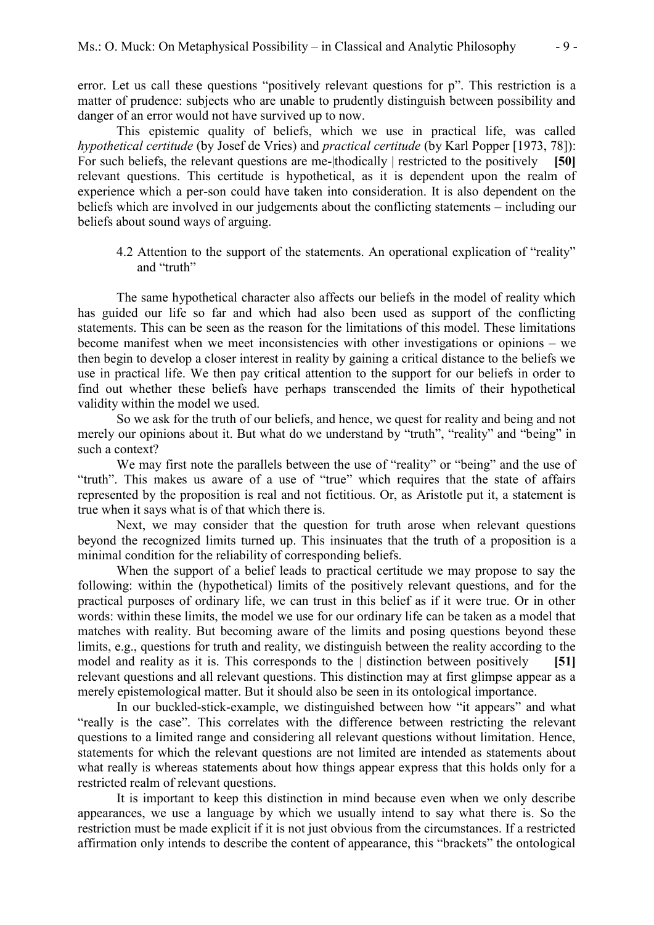error. Let us call these questions "positively relevant questions for p". This restriction is a matter of prudence: subjects who are unable to prudently distinguish between possibility and danger of an error would not have survived up to now.

This epistemic quality of beliefs, which we use in practical life, was called *hypothetical certitude* (by Josef de Vries) and *practical certitude* (by Karl Popper [1973, 78]): For such beliefs, the relevant questions are me-|thodically | restricted to the positively [50] relevant questions. This certitude is hypothetical, as it is dependent upon the realm of experience which a per-son could have taken into consideration. It is also dependent on the beliefs which are involved in our judgements about the conflicting statements – including our beliefs about sound ways of arguing.

4.2 Attention to the support of the statements. An operational explication of "reality" and "truth"

The same hypothetical character also affects our beliefs in the model of reality which has guided our life so far and which had also been used as support of the conflicting statements. This can be seen as the reason for the limitations of this model. These limitations become manifest when we meet inconsistencies with other investigations or opinions – we then begin to develop a closer interest in reality by gaining a critical distance to the beliefs we use in practical life. We then pay critical attention to the support for our beliefs in order to find out whether these beliefs have perhaps transcended the limits of their hypothetical validity within the model we used.

So we ask for the truth of our beliefs, and hence, we quest for reality and being and not merely our opinions about it. But what do we understand by "truth", "reality" and "being" in such a context?

We may first note the parallels between the use of "reality" or "being" and the use of "truth". This makes us aware of a use of "true" which requires that the state of affairs represented by the proposition is real and not fictitious. Or, as Aristotle put it, a statement is true when it says what is of that which there is.

Next, we may consider that the question for truth arose when relevant questions beyond the recognized limits turned up. This insinuates that the truth of a proposition is a minimal condition for the reliability of corresponding beliefs.

When the support of a belief leads to practical certitude we may propose to say the following: within the (hypothetical) limits of the positively relevant questions, and for the practical purposes of ordinary life, we can trust in this belief as if it were true. Or in other words: within these limits, the model we use for our ordinary life can be taken as a model that matches with reality. But becoming aware of the limits and posing questions beyond these limits, e.g., questions for truth and reality, we distinguish between the reality according to the model and reality as it is. This corresponds to the | distinction between positively **[51]** relevant questions and all relevant questions. This distinction may at first glimpse appear as a merely epistemological matter. But it should also be seen in its ontological importance.

In our buckled-stick-example, we distinguished between how "it appears" and what "really is the case". This correlates with the difference between restricting the relevant questions to a limited range and considering all relevant questions without limitation. Hence, statements for which the relevant questions are not limited are intended as statements about what really is whereas statements about how things appear express that this holds only for a restricted realm of relevant questions.

It is important to keep this distinction in mind because even when we only describe appearances, we use a language by which we usually intend to say what there is. So the restriction must be made explicit if it is not just obvious from the circumstances. If a restricted affirmation only intends to describe the content of appearance, this "brackets" the ontological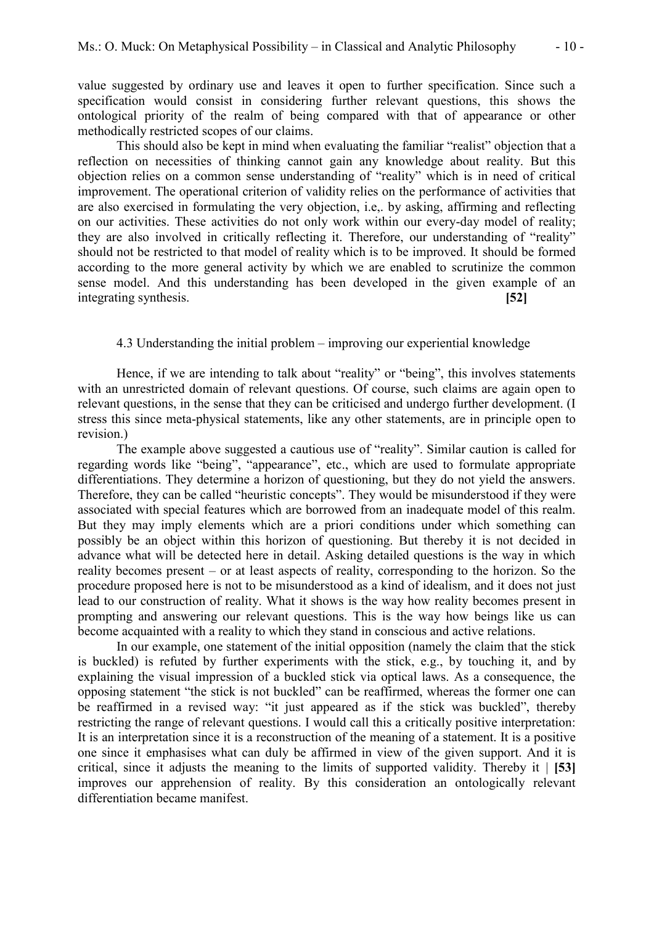value suggested by ordinary use and leaves it open to further specification. Since such a specification would consist in considering further relevant questions, this shows the ontological priority of the realm of being compared with that of appearance or other methodically restricted scopes of our claims.

This should also be kept in mind when evaluating the familiar "realist" objection that a reflection on necessities of thinking cannot gain any knowledge about reality. But this objection relies on a common sense understanding of "reality" which is in need of critical improvement. The operational criterion of validity relies on the performance of activities that are also exercised in formulating the very objection, i.e,. by asking, affirming and reflecting on our activities. These activities do not only work within our every-day model of reality; they are also involved in critically reflecting it. Therefore, our understanding of "reality" should not be restricted to that model of reality which is to be improved. It should be formed according to the more general activity by which we are enabled to scrutinize the common sense model. And this understanding has been developed in the given example of an integrating synthesis. **[52]**

## 4.3 Understanding the initial problem – improving our experiential knowledge

Hence, if we are intending to talk about "reality" or "being", this involves statements with an unrestricted domain of relevant questions. Of course, such claims are again open to relevant questions, in the sense that they can be criticised and undergo further development. (I stress this since meta-physical statements, like any other statements, are in principle open to revision.)

The example above suggested a cautious use of "reality". Similar caution is called for regarding words like "being", "appearance", etc., which are used to formulate appropriate differentiations. They determine a horizon of questioning, but they do not yield the answers. Therefore, they can be called "heuristic concepts". They would be misunderstood if they were associated with special features which are borrowed from an inadequate model of this realm. But they may imply elements which are a priori conditions under which something can possibly be an object within this horizon of questioning. But thereby it is not decided in advance what will be detected here in detail. Asking detailed questions is the way in which reality becomes present – or at least aspects of reality, corresponding to the horizon. So the procedure proposed here is not to be misunderstood as a kind of idealism, and it does not just lead to our construction of reality. What it shows is the way how reality becomes present in prompting and answering our relevant questions. This is the way how beings like us can become acquainted with a reality to which they stand in conscious and active relations.

In our example, one statement of the initial opposition (namely the claim that the stick is buckled) is refuted by further experiments with the stick, e.g., by touching it, and by explaining the visual impression of a buckled stick via optical laws. As a consequence, the opposing statement "the stick is not buckled" can be reaffirmed, whereas the former one can be reaffirmed in a revised way: "it just appeared as if the stick was buckled", thereby restricting the range of relevant questions. I would call this a critically positive interpretation: It is an interpretation since it is a reconstruction of the meaning of a statement. It is a positive one since it emphasises what can duly be affirmed in view of the given support. And it is critical, since it adjusts the meaning to the limits of supported validity. Thereby it  $\vert$  **[53]** improves our apprehension of reality. By this consideration an ontologically relevant differentiation became manifest.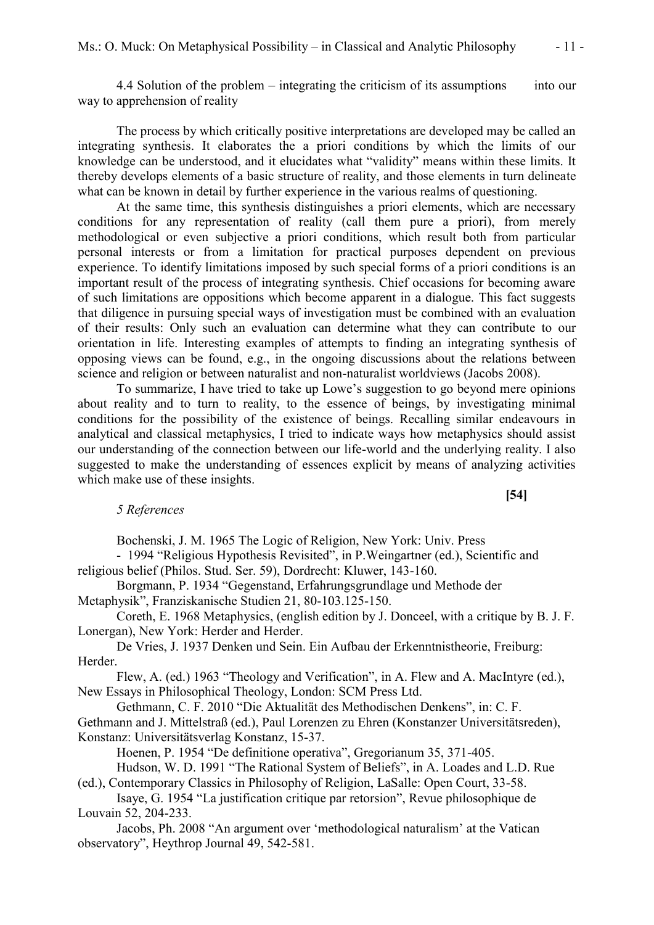4.4 Solution of the problem – integrating the criticism of its assumptions into our way to apprehension of reality

The process by which critically positive interpretations are developed may be called an integrating synthesis. It elaborates the a priori conditions by which the limits of our knowledge can be understood, and it elucidates what "validity" means within these limits. It thereby develops elements of a basic structure of reality, and those elements in turn delineate what can be known in detail by further experience in the various realms of questioning.

At the same time, this synthesis distinguishes a priori elements, which are necessary conditions for any representation of reality (call them pure a priori), from merely methodological or even subjective a priori conditions, which result both from particular personal interests or from a limitation for practical purposes dependent on previous experience. To identify limitations imposed by such special forms of a priori conditions is an important result of the process of integrating synthesis. Chief occasions for becoming aware of such limitations are oppositions which become apparent in a dialogue. This fact suggests that diligence in pursuing special ways of investigation must be combined with an evaluation of their results: Only such an evaluation can determine what they can contribute to our orientation in life. Interesting examples of attempts to finding an integrating synthesis of opposing views can be found, e.g., in the ongoing discussions about the relations between science and religion or between naturalist and non-naturalist worldviews (Jacobs 2008).

To summarize, I have tried to take up Lowe's suggestion to go beyond mere opinions about reality and to turn to reality, to the essence of beings, by investigating minimal conditions for the possibility of the existence of beings. Recalling similar endeavours in analytical and classical metaphysics, I tried to indicate ways how metaphysics should assist our understanding of the connection between our life-world and the underlying reality. I also suggested to make the understanding of essences explicit by means of analyzing activities which make use of these insights.

**[54]**

## *5 References*

Bochenski, J. M. 1965 The Logic of Religion, New York: Univ. Press

- 1994 "Religious Hypothesis Revisited", in P.Weingartner (ed.), Scientific and religious belief (Philos. Stud. Ser. 59), Dordrecht: Kluwer, 143-160.

Borgmann, P. 1934 "Gegenstand, Erfahrungsgrundlage und Methode der Metaphysik", Franziskanische Studien 21, 80-103.125-150.

Coreth, E. 1968 Metaphysics, (english edition by J. Donceel, with a critique by B. J. F. Lonergan), New York: Herder and Herder.

De Vries, J. 1937 Denken und Sein. Ein Aufbau der Erkenntnistheorie, Freiburg: Herder.

Flew, A. (ed.) 1963 "Theology and Verification", in A. Flew and A. MacIntyre (ed.), New Essays in Philosophical Theology, London: SCM Press Ltd.

Gethmann, C. F. 2010 "Die Aktualität des Methodischen Denkens", in: C. F. Gethmann and J. Mittelstraß (ed.), Paul Lorenzen zu Ehren (Konstanzer Universitätsreden), Konstanz: Universitätsverlag Konstanz, 15-37.

Hoenen, P. 1954 "De definitione operativa", Gregorianum 35, 371-405.

Hudson, W. D. 1991 "The Rational System of Beliefs", in A. Loades and L.D. Rue (ed.), Contemporary Classics in Philosophy of Religion, LaSalle: Open Court, 33-58.

Isaye, G. 1954 "La justification critique par retorsion", Revue philosophique de Louvain 52, 204-233.

Jacobs, Ph. 2008 "An argument over 'methodological naturalism' at the Vatican observatory", Heythrop Journal 49, 542-581.